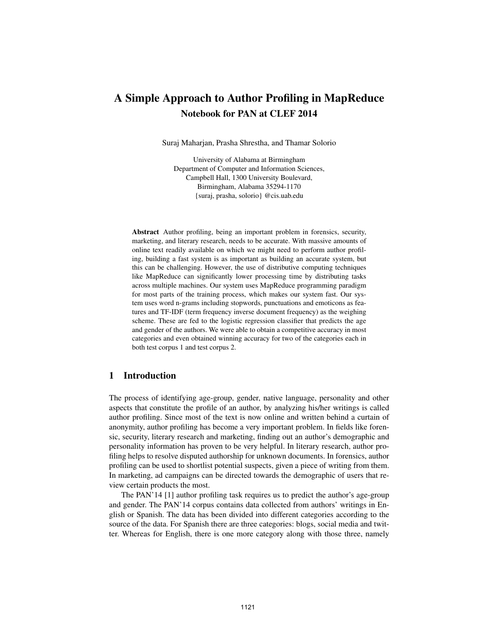# A Simple Approach to Author Profiling in MapReduce Notebook for PAN at CLEF 2014

Suraj Maharjan, Prasha Shrestha, and Thamar Solorio

University of Alabama at Birmingham Department of Computer and Information Sciences, Campbell Hall, 1300 University Boulevard, Birmingham, Alabama 35294-1170 {suraj, prasha, solorio} @cis.uab.edu

Abstract Author profiling, being an important problem in forensics, security, marketing, and literary research, needs to be accurate. With massive amounts of online text readily available on which we might need to perform author profiling, building a fast system is as important as building an accurate system, but this can be challenging. However, the use of distributive computing techniques like MapReduce can significantly lower processing time by distributing tasks across multiple machines. Our system uses MapReduce programming paradigm for most parts of the training process, which makes our system fast. Our system uses word n-grams including stopwords, punctuations and emoticons as features and TF-IDF (term frequency inverse document frequency) as the weighing scheme. These are fed to the logistic regression classifier that predicts the age and gender of the authors. We were able to obtain a competitive accuracy in most categories and even obtained winning accuracy for two of the categories each in both test corpus 1 and test corpus 2.

# 1 Introduction

The process of identifying age-group, gender, native language, personality and other aspects that constitute the profile of an author, by analyzing his/her writings is called author profiling. Since most of the text is now online and written behind a curtain of anonymity, author profiling has become a very important problem. In fields like forensic, security, literary research and marketing, finding out an author's demographic and personality information has proven to be very helpful. In literary research, author profiling helps to resolve disputed authorship for unknown documents. In forensics, author profiling can be used to shortlist potential suspects, given a piece of writing from them. In marketing, ad campaigns can be directed towards the demographic of users that review certain products the most.

The PAN'14 [1] author profiling task requires us to predict the author's age-group and gender. The PAN'14 corpus contains data collected from authors' writings in English or Spanish. The data has been divided into different categories according to the source of the data. For Spanish there are three categories: blogs, social media and twitter. Whereas for English, there is one more category along with those three, namely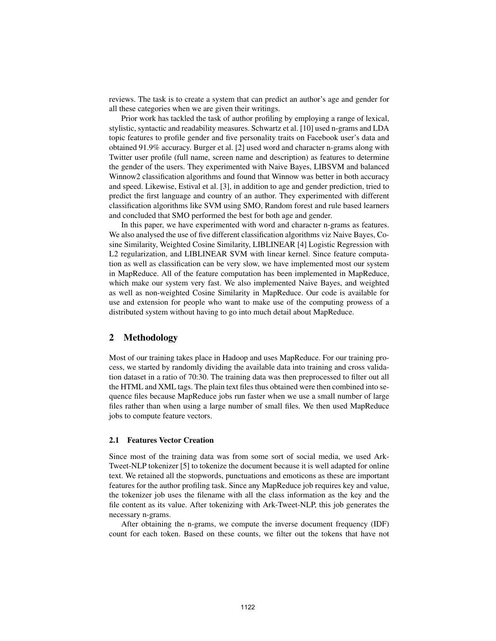reviews. The task is to create a system that can predict an author's age and gender for all these categories when we are given their writings.

Prior work has tackled the task of author profiling by employing a range of lexical, stylistic, syntactic and readability measures. Schwartz et al. [10] used n-grams and LDA topic features to profile gender and five personality traits on Facebook user's data and obtained 91.9% accuracy. Burger et al. [2] used word and character n-grams along with Twitter user profile (full name, screen name and description) as features to determine the gender of the users. They experimented with Naive Bayes, LIBSVM and balanced Winnow2 classification algorithms and found that Winnow was better in both accuracy and speed. Likewise, Estival et al. [3], in addition to age and gender prediction, tried to predict the first language and country of an author. They experimented with different classification algorithms like SVM using SMO, Random forest and rule based learners and concluded that SMO performed the best for both age and gender.

In this paper, we have experimented with word and character n-grams as features. We also analysed the use of five different classification algorithms viz Naive Bayes, Cosine Similarity, Weighted Cosine Similarity, LIBLINEAR [4] Logistic Regression with L2 regularization, and LIBLINEAR SVM with linear kernel. Since feature computation as well as classification can be very slow, we have implemented most our system in MapReduce. All of the feature computation has been implemented in MapReduce, which make our system very fast. We also implemented Naive Bayes, and weighted as well as non-weighted Cosine Similarity in MapReduce. Our code is available for use and extension for people who want to make use of the computing prowess of a distributed system without having to go into much detail about MapReduce.

# 2 Methodology

Most of our training takes place in Hadoop and uses MapReduce. For our training process, we started by randomly dividing the available data into training and cross validation dataset in a ratio of 70:30. The training data was then preprocessed to filter out all the HTML and XML tags. The plain text files thus obtained were then combined into sequence files because MapReduce jobs run faster when we use a small number of large files rather than when using a large number of small files. We then used MapReduce jobs to compute feature vectors.

#### 2.1 Features Vector Creation

Since most of the training data was from some sort of social media, we used Ark-Tweet-NLP tokenizer [5] to tokenize the document because it is well adapted for online text. We retained all the stopwords, punctuations and emoticons as these are important features for the author profiling task. Since any MapReduce job requires key and value, the tokenizer job uses the filename with all the class information as the key and the file content as its value. After tokenizing with Ark-Tweet-NLP, this job generates the necessary n-grams.

After obtaining the n-grams, we compute the inverse document frequency (IDF) count for each token. Based on these counts, we filter out the tokens that have not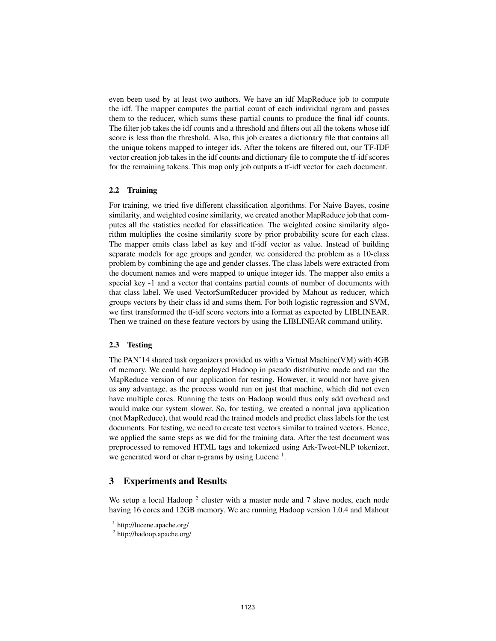even been used by at least two authors. We have an idf MapReduce job to compute the idf. The mapper computes the partial count of each individual ngram and passes them to the reducer, which sums these partial counts to produce the final idf counts. The filter job takes the idf counts and a threshold and filters out all the tokens whose idf score is less than the threshold. Also, this job creates a dictionary file that contains all the unique tokens mapped to integer ids. After the tokens are filtered out, our TF-IDF vector creation job takes in the idf counts and dictionary file to compute the tf-idf scores for the remaining tokens. This map only job outputs a tf-idf vector for each document.

#### 2.2 Training

For training, we tried five different classification algorithms. For Naive Bayes, cosine similarity, and weighted cosine similarity, we created another MapReduce job that computes all the statistics needed for classification. The weighted cosine similarity algorithm multiplies the cosine similarity score by prior probability score for each class. The mapper emits class label as key and tf-idf vector as value. Instead of building separate models for age groups and gender, we considered the problem as a 10-class problem by combining the age and gender classes. The class labels were extracted from the document names and were mapped to unique integer ids. The mapper also emits a special key -1 and a vector that contains partial counts of number of documents with that class label. We used VectorSumReducer provided by Mahout as reducer, which groups vectors by their class id and sums them. For both logistic regression and SVM, we first transformed the tf-idf score vectors into a format as expected by LIBLINEAR. Then we trained on these feature vectors by using the LIBLINEAR command utility.

## 2.3 Testing

The PAN'14 shared task organizers provided us with a Virtual Machine(VM) with 4GB of memory. We could have deployed Hadoop in pseudo distributive mode and ran the MapReduce version of our application for testing. However, it would not have given us any advantage, as the process would run on just that machine, which did not even have multiple cores. Running the tests on Hadoop would thus only add overhead and would make our system slower. So, for testing, we created a normal java application (not MapReduce), that would read the trained models and predict class labels for the test documents. For testing, we need to create test vectors similar to trained vectors. Hence, we applied the same steps as we did for the training data. After the test document was preprocessed to removed HTML tags and tokenized using Ark-Tweet-NLP tokenizer, we generated word or char n-grams by using Lucene<sup>1</sup>.

## 3 Experiments and Results

We setup a local Hadoop  $2$  cluster with a master node and 7 slave nodes, each node having 16 cores and 12GB memory. We are running Hadoop version 1.0.4 and Mahout

<sup>1</sup> http://lucene.apache.org/

<sup>2</sup> http://hadoop.apache.org/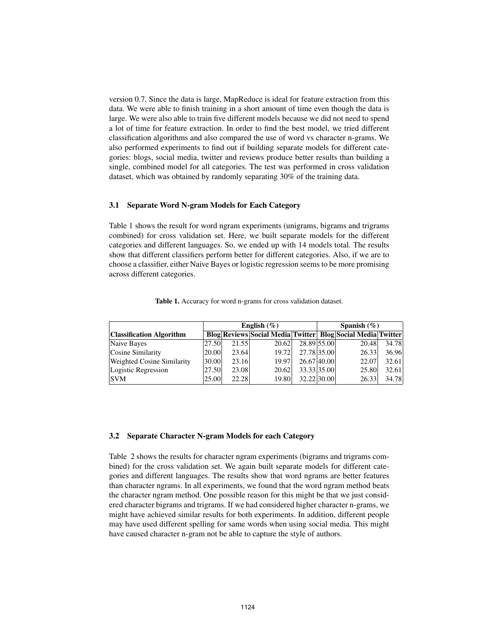version 0.7. Since the data is large, MapReduce is ideal for feature extraction from this data. We were able to finish training in a short amount of time even though the data is large. We were also able to train five different models because we did not need to spend a lot of time for feature extraction. In order to find the best model, we tried different classification algorithms and also compared the use of word vs character n-grams. We also performed experiments to find out if building separate models for different categories: blogs, social media, twitter and reviews produce better results than building a single, combined model for all categories. The test was performed in cross validation dataset, which was obtained by randomly separating 30% of the training data.

#### 3.1 Separate Word N-gram Models for Each Category

Table 1 shows the result for word ngram experiments (unigrams, bigrams and trigrams combined) for cross validation set. Here, we built separate models for the different categories and different languages. So, we ended up with 14 models total. The results show that different classifiers perform better for different categories. Also, if we are to choose a classifier, either Naive Bayes or logistic regression seems to be more promising across different categories.

|                                   | English $(\%)$ |       |       |             |  | Spanish $(\% )$                                                      |       |  |  |
|-----------------------------------|----------------|-------|-------|-------------|--|----------------------------------------------------------------------|-------|--|--|
| <b>Classification Algorithm</b>   |                |       |       |             |  | <b>Blog Reviews Social Media Twitter   Blog Social Media Twitter</b> |       |  |  |
| Naive Bayes                       | 27.50          | 21.55 | 20.62 | 28.89 55.00 |  | 20.48                                                                | 34.78 |  |  |
| Cosine Similarity                 | 20.00          | 23.64 | 19.72 | 27.78 35.00 |  | 26.33                                                                | 36.96 |  |  |
| <b>Weighted Cosine Similarity</b> | 30.00          | 23.16 | 19.97 | 26.67 40.00 |  | 22.07                                                                | 32.61 |  |  |
| Logistic Regression               | 27.50          | 23.08 | 20.62 | 33.33 35.00 |  | 25.80                                                                | 32.61 |  |  |
| <b>SVM</b>                        | 25.00          | 22.28 | 19.80 | 32.22 30.00 |  | 26.33                                                                | 34.78 |  |  |

Table 1. Accuracy for word n-grams for cross validation dataset.

#### 3.2 Separate Character N-gram Models for each Category

Table 2 shows the results for character ngram experiments (bigrams and trigrams combined) for the cross validation set. We again built separate models for different categories and different languages. The results show that word ngrams are better features than character ngrams. In all experiments, we found that the word ngram method beats the character ngram method. One possible reason for this might be that we just considered character bigrams and trigrams. If we had considered higher character n-grams, we might have achieved similar results for both experiments. In addition, different people may have used different spelling for same words when using social media. This might have caused character n-gram not be able to capture the style of authors.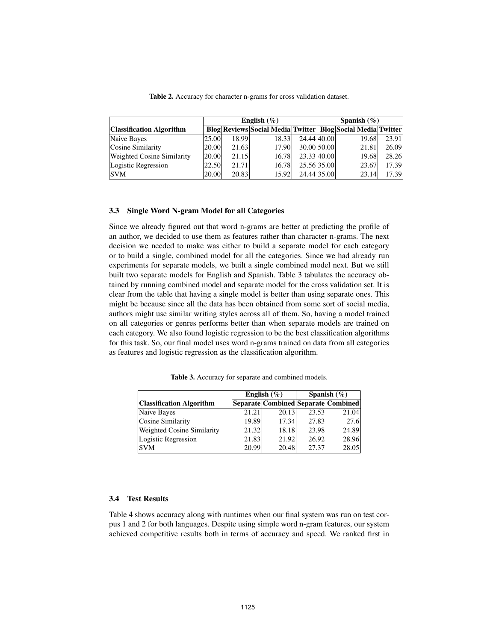|                                   | English $(\%)$ |       |       |             | Spanish $(\%)$ |                                                                      |       |  |
|-----------------------------------|----------------|-------|-------|-------------|----------------|----------------------------------------------------------------------|-------|--|
| <b>Classification Algorithm</b>   |                |       |       |             |                | <b>Blog Reviews Social Media Twitter   Blog Social Media Twitter</b> |       |  |
| Naive Bayes                       | 25.00          | 18.99 | 18.33 | 24.44 40.00 |                | 19.68                                                                | 23.91 |  |
| Cosine Similarity                 | 20.00          | 21.63 | 17.90 | 30.00 50.00 |                | 21.81                                                                | 26.09 |  |
| <b>Weighted Cosine Similarity</b> | 20.00          | 21.15 | 16.78 | 23.33 40.00 |                | 19.68                                                                | 28.26 |  |
| Logistic Regression               | 22.50          | 21.71 | 16.78 | 25.56 35.00 |                | 23.67                                                                | 17.39 |  |
| <b>SVM</b>                        | 20.00          | 20.83 | 15.92 | 24.44 35.00 |                | 23.14                                                                | 17.39 |  |

Table 2. Accuracy for character n-grams for cross validation dataset.

#### 3.3 Single Word N-gram Model for all Categories

Since we already figured out that word n-grams are better at predicting the profile of an author, we decided to use them as features rather than character n-grams. The next decision we needed to make was either to build a separate model for each category or to build a single, combined model for all the categories. Since we had already run experiments for separate models, we built a single combined model next. But we still built two separate models for English and Spanish. Table 3 tabulates the accuracy obtained by running combined model and separate model for the cross validation set. It is clear from the table that having a single model is better than using separate ones. This might be because since all the data has been obtained from some sort of social media, authors might use similar writing styles across all of them. So, having a model trained on all categories or genres performs better than when separate models are trained on each category. We also found logistic regression to be the best classification algorithms for this task. So, our final model uses word n-grams trained on data from all categories as features and logistic regression as the classification algorithm.

English  $(\%)$  Spanish  $(\%)$ Classification Algorithm Separate Combined Separate Combined Naive Bayes 21.21 20.13 23.53 21.04

Cosine Similarity 19.89 17.34 27.83 27.6 Weighted Cosine Similarity | 21.32 18.18 23.98 24.89 Logistic Regression  $\vert$  21.83 21.92 26.92 28.96 SVM 20.99 20.48 27.37 28.05

Table 3. Accuracy for separate and combined models.

## 3.4 Test Results

Table 4 shows accuracy along with runtimes when our final system was run on test corpus 1 and 2 for both languages. Despite using simple word n-gram features, our system achieved competitive results both in terms of accuracy and speed. We ranked first in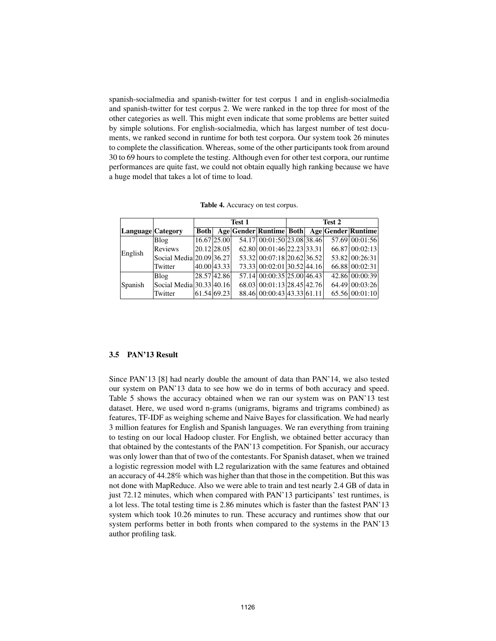spanish-socialmedia and spanish-twitter for test corpus 1 and in english-socialmedia and spanish-twitter for test corpus 2. We were ranked in the top three for most of the other categories as well. This might even indicate that some problems are better suited by simple solutions. For english-socialmedia, which has largest number of test documents, we ranked second in runtime for both test corpora. Our system took 26 minutes to complete the classification. Whereas, some of the other participants took from around 30 to 69 hours to complete the testing. Although even for other test corpora, our runtime performances are quite fast, we could not obtain equally high ranking because we have a huge model that takes a lot of time to load.

|  | Table 4. Accuracy on test corpus. |  |
|--|-----------------------------------|--|
|--|-----------------------------------|--|

|                   |                          | Test 1      |             |  |                            | Test 2 |  |  |                                            |
|-------------------|--------------------------|-------------|-------------|--|----------------------------|--------|--|--|--------------------------------------------|
| Language Category |                          | <b>Both</b> |             |  |                            |        |  |  | Age Gender Runtime Both Age Gender Runtime |
| English           | Blog                     |             | 16.67 25.00 |  | 54.17 00:01:50 23.08 38.46 |        |  |  | 57.69 00:01:56                             |
|                   | <b>Reviews</b>           | 20.12 28.05 |             |  | 62.80 00:01:46 22.23 33.31 |        |  |  | 66.87 00:02:13                             |
|                   | Social Media 20.09 36.27 |             |             |  | 53.32 00:07:18 20.62 36.52 |        |  |  | 53.82 00:26:31                             |
|                   | Twitter                  | 40.00 43.33 |             |  | 73.33 00:02:01 30.52 44.16 |        |  |  | 66.88 00:02:31                             |
| Spanish           | Blog                     | 28.57 42.86 |             |  | 57.14 00:00:35 25.00 46.43 |        |  |  | 42.86 00:00:39                             |
|                   | Social Media 30.33 40.16 |             |             |  | 68.03 00:01:13 28.45 42.76 |        |  |  | 64.49 00:03:26                             |
|                   | Twitter                  | 61.54 69.23 |             |  | 88.46 00:00:43 43.33 61.11 |        |  |  | 65.56 00:01:10                             |

#### 3.5 PAN'13 Result

Since PAN'13 [8] had nearly double the amount of data than PAN'14, we also tested our system on PAN'13 data to see how we do in terms of both accuracy and speed. Table 5 shows the accuracy obtained when we ran our system was on PAN'13 test dataset. Here, we used word n-grams (unigrams, bigrams and trigrams combined) as features, TF-IDF as weighing scheme and Naive Bayes for classification. We had nearly 3 million features for English and Spanish languages. We ran everything from training to testing on our local Hadoop cluster. For English, we obtained better accuracy than that obtained by the contestants of the PAN'13 competition. For Spanish, our accuracy was only lower than that of two of the contestants. For Spanish dataset, when we trained a logistic regression model with L2 regularization with the same features and obtained an accuracy of 44.28% which was higher than that those in the competition. But this was not done with MapReduce. Also we were able to train and test nearly 2.4 GB of data in just 72.12 minutes, which when compared with PAN'13 participants' test runtimes, is a lot less. The total testing time is 2.86 minutes which is faster than the fastest PAN'13 system which took 10.26 minutes to run. These accuracy and runtimes show that our system performs better in both fronts when compared to the systems in the PAN'13 author profiling task.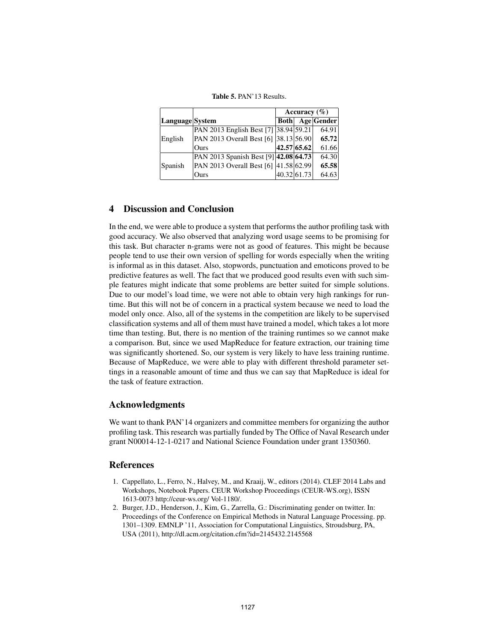|                 |                                       | Accuracy $(\% )$ |             |            |  |
|-----------------|---------------------------------------|------------------|-------------|------------|--|
| Language System |                                       | <b>Both</b>      |             | Age Gender |  |
|                 | PAN 2013 English Best [7] 38.94 59.21 |                  |             | 64.91      |  |
| English         | PAN 2013 Overall Best [6] 38.13 56.90 |                  |             | 65.72      |  |
|                 | Ours                                  |                  | 42.57 65.62 | 61.66      |  |
| Spanish         | PAN 2013 Spanish Best [9] 42.08 64.73 |                  |             | 64.30      |  |
|                 | PAN 2013 Overall Best [6] 41.58 62.99 |                  |             | 65.58      |  |
|                 | Ours                                  |                  | 40.32 61.73 | 64.63      |  |

Table 5. PAN'13 Results.

# 4 Discussion and Conclusion

In the end, we were able to produce a system that performs the author profiling task with good accuracy. We also observed that analyzing word usage seems to be promising for this task. But character n-grams were not as good of features. This might be because people tend to use their own version of spelling for words especially when the writing is informal as in this dataset. Also, stopwords, punctuation and emoticons proved to be predictive features as well. The fact that we produced good results even with such simple features might indicate that some problems are better suited for simple solutions. Due to our model's load time, we were not able to obtain very high rankings for runtime. But this will not be of concern in a practical system because we need to load the model only once. Also, all of the systems in the competition are likely to be supervised classification systems and all of them must have trained a model, which takes a lot more time than testing. But, there is no mention of the training runtimes so we cannot make a comparison. But, since we used MapReduce for feature extraction, our training time was significantly shortened. So, our system is very likely to have less training runtime. Because of MapReduce, we were able to play with different threshold parameter settings in a reasonable amount of time and thus we can say that MapReduce is ideal for the task of feature extraction.

# Acknowledgments

We want to thank PAN'14 organizers and committee members for organizing the author profiling task. This research was partially funded by The Office of Naval Research under grant N00014-12-1-0217 and National Science Foundation under grant 1350360.

# References

- 1. Cappellato, L., Ferro, N., Halvey, M., and Kraaij, W., editors (2014). CLEF 2014 Labs and Workshops, Notebook Papers. CEUR Workshop Proceedings (CEUR-WS.org), ISSN 1613-0073 http://ceur-ws.org/ Vol-1180/.
- 2. Burger, J.D., Henderson, J., Kim, G., Zarrella, G.: Discriminating gender on twitter. In: Proceedings of the Conference on Empirical Methods in Natural Language Processing. pp. 1301–1309. EMNLP '11, Association for Computational Linguistics, Stroudsburg, PA, USA (2011), http://dl.acm.org/citation.cfm?id=2145432.2145568